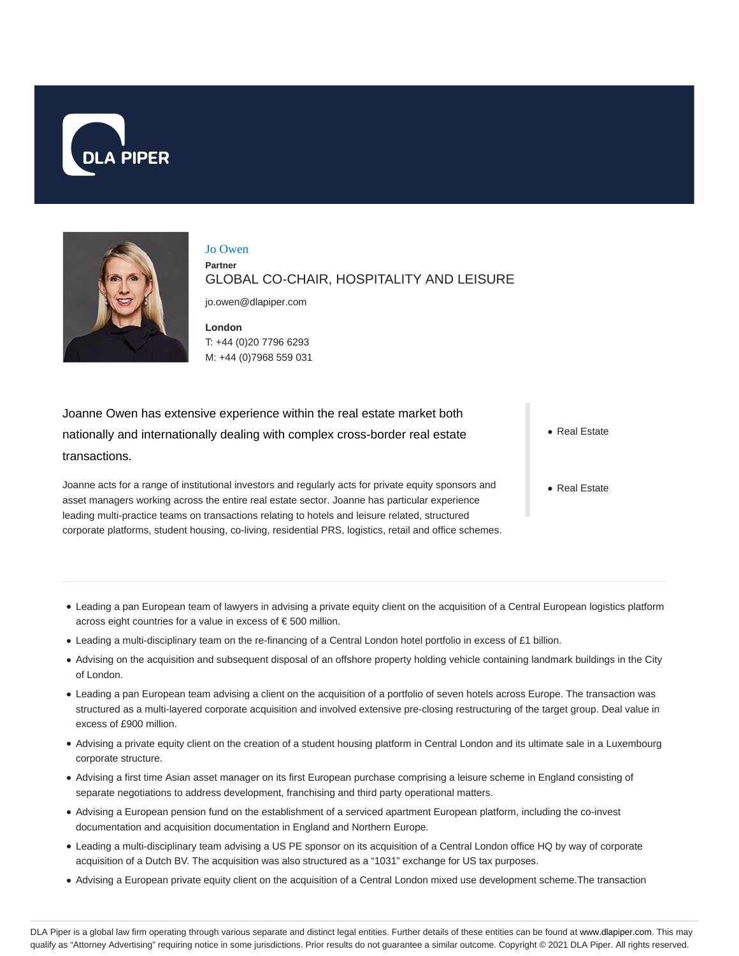



Jo Owen **Partner** GLOBAL CO-CHAIR, HOSPITALITY AND LEISURE

jo.owen@dlapiper.com

**London** T: +44 (0)20 7796 6293 M: +44 (0)7968 559 031

Joanne Owen has extensive experience within the real estate market both nationally and internationally dealing with complex cross-border real estate transactions.

Joanne acts for a range of institutional investors and regularly acts for private equity sponsors and asset managers working across the entire real estate sector. Joanne has particular experience leading multi-practice teams on transactions relating to hotels and leisure related, structured corporate platforms, student housing, co-living, residential PRS, logistics, retail and office schemes. • Real Estate

• Real Estate

- Leading a pan European team of lawyers in advising a private equity client on the acquisition of a Central European logistics platform across eight countries for a value in excess of € 500 million.
- Leading a multi-disciplinary team on the re-financing of a Central London hotel portfolio in excess of £1 billion.
- Advising on the acquisition and subsequent disposal of an offshore property holding vehicle containing landmark buildings in the City of London.
- Leading a pan European team advising a client on the acquisition of a portfolio of seven hotels across Europe. The transaction was structured as a multi-layered corporate acquisition and involved extensive pre-closing restructuring of the target group. Deal value in excess of £900 million.
- Advising a private equity client on the creation of a student housing platform in Central London and its ultimate sale in a Luxembourg corporate structure.
- Advising a first time Asian asset manager on its first European purchase comprising a leisure scheme in England consisting of separate negotiations to address development, franchising and third party operational matters.
- Advising a European pension fund on the establishment of a serviced apartment European platform, including the co-invest documentation and acquisition documentation in England and Northern Europe.
- Leading a multi-disciplinary team advising a US PE sponsor on its acquisition of a Central London office HQ by way of corporate acquisition of a Dutch BV. The acquisition was also structured as a "1031" exchange for US tax purposes.
- Advising a European private equity client on the acquisition of a Central London mixed use development scheme.The transaction